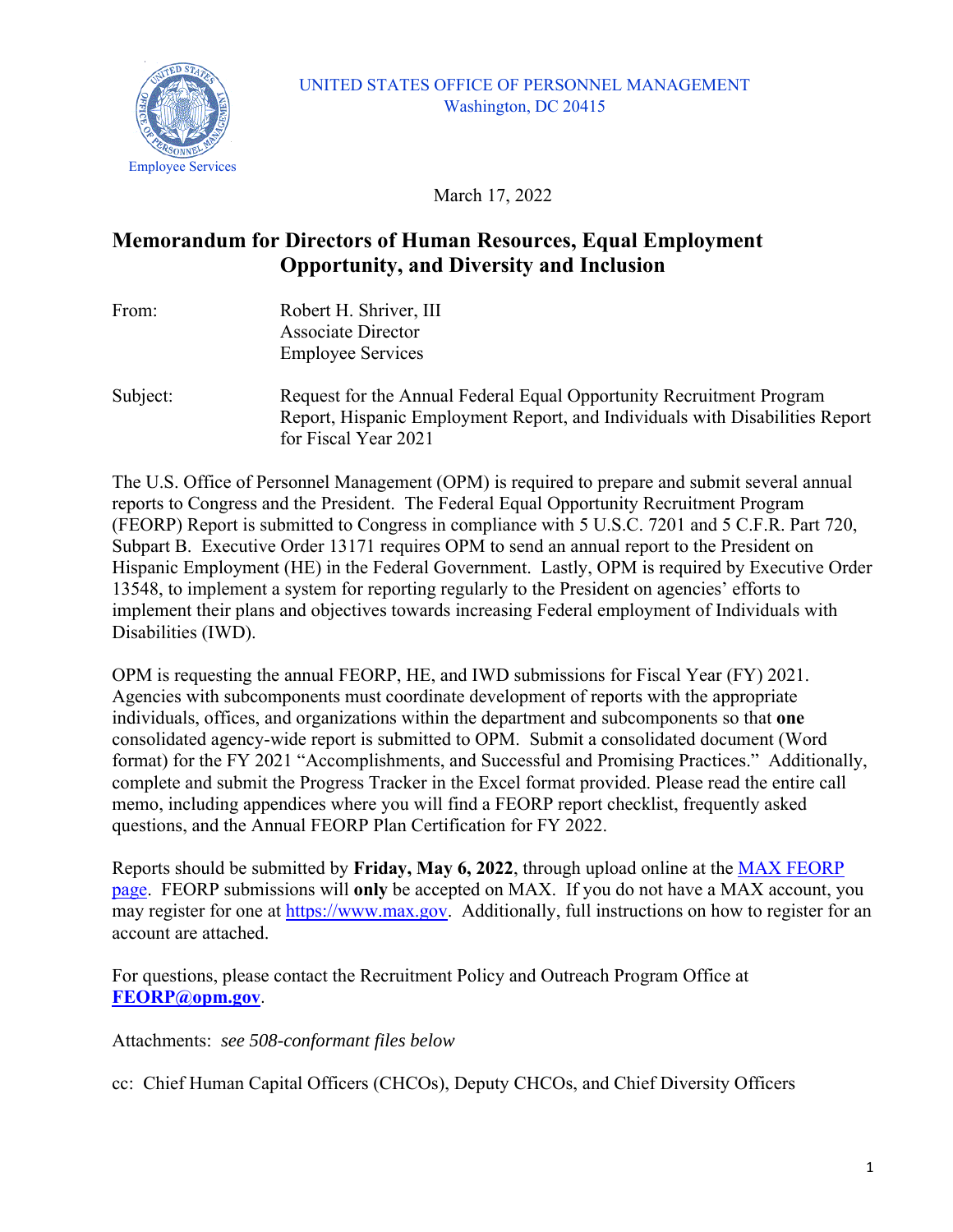

### UNITED STATES OFFICE OF PERSONNEL MANAGEMENT Washington, DC 20415

March 17, 2022

# **Memorandum for Directors of Human Resources, Equal Employment Opportunity, and Diversity and Inclusion**

| From:    | Robert H. Shriver, III                                                       |  |  |
|----------|------------------------------------------------------------------------------|--|--|
|          | <b>Associate Director</b>                                                    |  |  |
|          | <b>Employee Services</b>                                                     |  |  |
| Subject: | Request for the Annual Federal Equal Opportunity Recruitment Program         |  |  |
|          | Report, Hispanic Employment Report, and Individuals with Disabilities Report |  |  |
|          | for Fiscal Year 2021                                                         |  |  |

The U.S. Office of Personnel Management (OPM) is required to prepare and submit several annual reports to Congress and the President. The Federal Equal Opportunity Recruitment Program (FEORP) Report is submitted to Congress in compliance with 5 U.S.C. 7201 and 5 C.F.R. Part 720, Subpart B. Executive Order 13171 requires OPM to send an annual report to the President on Hispanic Employment (HE) in the Federal Government. Lastly, OPM is required by Executive Order 13548, to implement a system for reporting regularly to the President on agencies' efforts to implement their plans and objectives towards increasing Federal employment of Individuals with Disabilities (IWD).

OPM is requesting the annual FEORP, HE, and IWD submissions for Fiscal Year (FY) 2021. Agencies with subcomponents must coordinate development of reports with the appropriate individuals, offices, and organizations within the department and subcomponents so that **one** consolidated agency-wide report is submitted to OPM. Submit a consolidated document (Word format) for the FY 2021 "Accomplishments, and Successful and Promising Practices." Additionally, complete and submit the Progress Tracker in the Excel format provided. Please read the entire call memo, including appendices where you will find a FEORP report checklist, frequently asked questions, and the Annual FEORP Plan Certification for FY 2022.

Reports should be submitted by **Friday, May 6, 2022**, through upload online at the [MAX FEORP](https://community.max.gov/x/7SHGKQ)  [page.](https://community.max.gov/x/7SHGKQ) FEORP submissions will **only** be accepted on MAX. If you do not have a MAX account, you may register for one at [https://www.max.gov.](https://www.max.gov/) Additionally, full instructions on how to register for an account are attached.

For questions, please contact the Recruitment Policy and Outreach Program Office at **[FEORP@opm.gov](mailto:FEORP@opm.gov)**.

Attachments: *see 508-conformant files below*

cc: Chief Human Capital Officers (CHCOs), Deputy CHCOs, and Chief Diversity Officers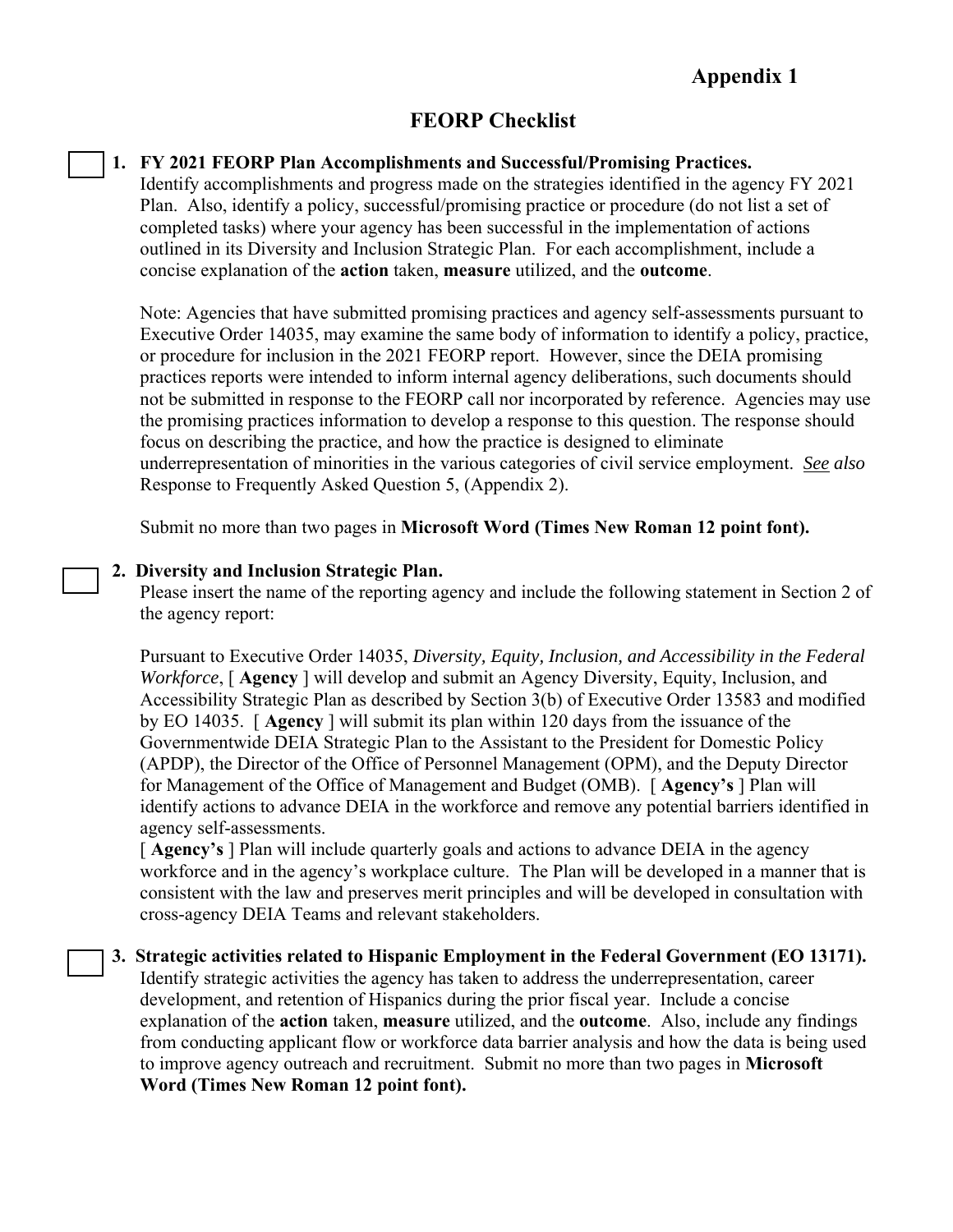# **FEORP Checklist**

### **1. FY 2021 FEORP Plan Accomplishments and Successful/Promising Practices.**

Identify accomplishments and progress made on the strategies identified in the agency FY 2021 Plan. Also, identify a policy, successful/promising practice or procedure (do not list a set of completed tasks) where your agency has been successful in the implementation of actions outlined in its Diversity and Inclusion Strategic Plan. For each accomplishment, include a concise explanation of the **action** taken, **measure** utilized, and the **outcome**.

Note: Agencies that have submitted promising practices and agency self-assessments pursuant to Executive Order 14035, may examine the same body of information to identify a policy, practice, or procedure for inclusion in the 2021 FEORP report. However, since the DEIA promising practices reports were intended to inform internal agency deliberations, such documents should not be submitted in response to the FEORP call nor incorporated by reference. Agencies may use the promising practices information to develop a response to this question. The response should focus on describing the practice, and how the practice is designed to eliminate underrepresentation of minorities in the various categories of civil service employment. *See also* Response to Frequently Asked Question 5, (Appendix 2).

Submit no more than two pages in **Microsoft Word (Times New Roman 12 point font).**

### **2. Diversity and Inclusion Strategic Plan.**

Please insert the name of the reporting agency and include the following statement in Section 2 of the agency report:

Pursuant to Executive Order 14035, *Diversity, Equity, Inclusion, and Accessibility in the Federal Workforce*, [ **Agency** ] will develop and submit an Agency Diversity, Equity, Inclusion, and Accessibility Strategic Plan as described by Section 3(b) of Executive Order 13583 and modified by EO 14035. [ **Agency** ] will submit its plan within 120 days from the issuance of the Governmentwide DEIA Strategic Plan to the Assistant to the President for Domestic Policy (APDP), the Director of the Office of Personnel Management (OPM), and the Deputy Director for Management of the Office of Management and Budget (OMB). [ **Agency's** ] Plan will identify actions to advance DEIA in the workforce and remove any potential barriers identified in agency self-assessments.

[ **Agency's** ] Plan will include quarterly goals and actions to advance DEIA in the agency workforce and in the agency's workplace culture. The Plan will be developed in a manner that is consistent with the law and preserves merit principles and will be developed in consultation with cross-agency DEIA Teams and relevant stakeholders.

**3. Strategic activities related to Hispanic Employment in the Federal Government (EO 13171).** Identify strategic activities the agency has taken to address the underrepresentation, career development, and retention of Hispanics during the prior fiscal year. Include a concise explanation of the **action** taken, **measure** utilized, and the **outcome**. Also, include any findings from conducting applicant flow or workforce data barrier analysis and how the data is being used to improve agency outreach and recruitment. Submit no more than two pages in **Microsoft Word (Times New Roman 12 point font).**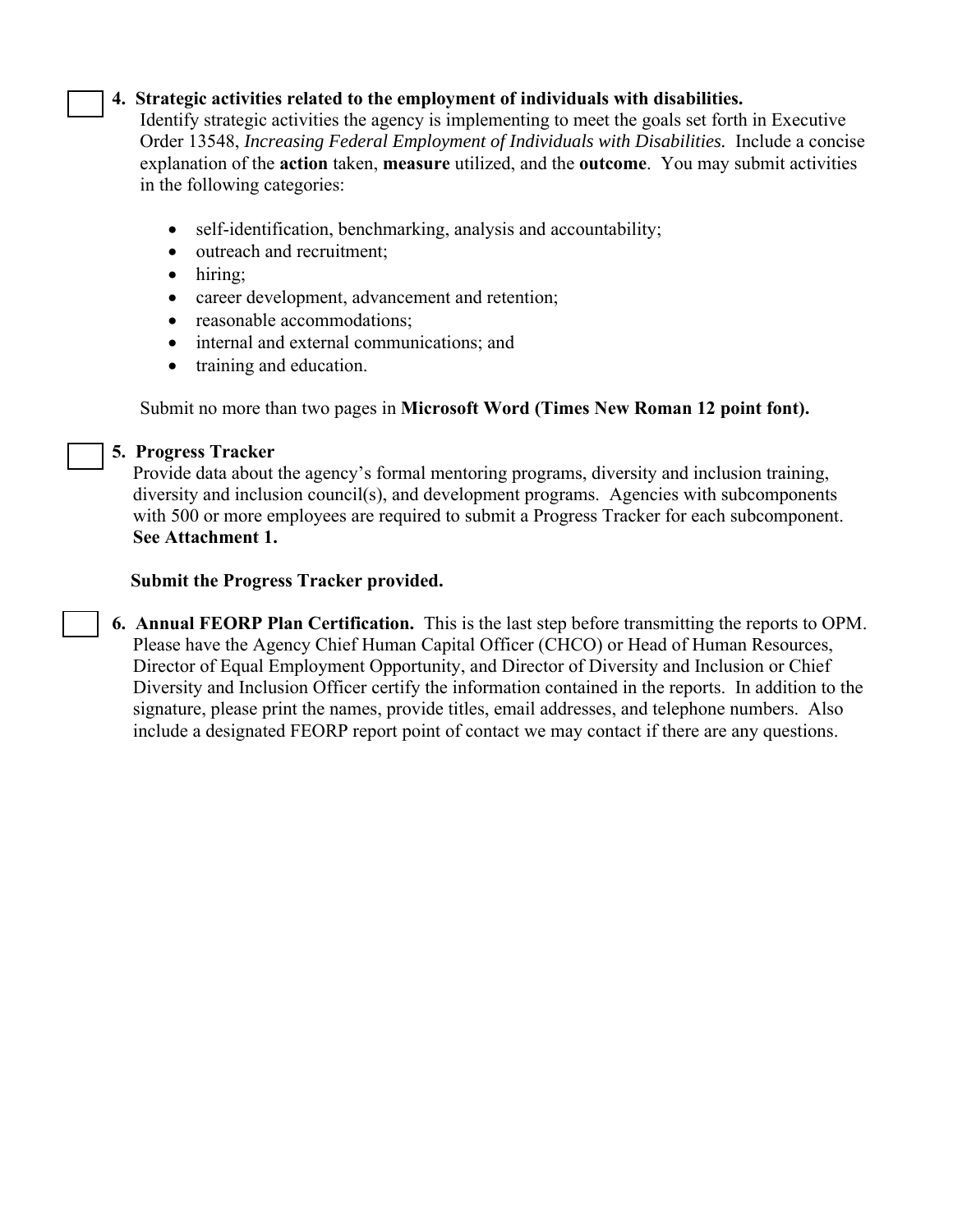# **4. Strategic activities related to the employment of individuals with disabilities.**

Identify strategic activities the agency is implementing to meet the goals set forth in Executive Order 13548, *Increasing Federal Employment of Individuals with Disabilities.* Include a concise explanation of the **action** taken, **measure** utilized, and the **outcome**. You may submit activities in the following categories:

- self-identification, benchmarking, analysis and accountability;
- outreach and recruitment;
- hiring:
- career development, advancement and retention;
- reasonable accommodations;
- internal and external communications; and
- training and education.

Submit no more than two pages in **Microsoft Word (Times New Roman 12 point font).**

### **5. Progress Tracker**

Provide data about the agency's formal mentoring programs, diversity and inclusion training, diversity and inclusion council(s), and development programs. Agencies with subcomponents with 500 or more employees are required to submit a Progress Tracker for each subcomponent. **See Attachment 1.**

### **Submit the Progress Tracker provided.**

**6. Annual FEORP Plan Certification.** This is the last step before transmitting the reports to OPM. Please have the Agency Chief Human Capital Officer (CHCO) or Head of Human Resources, Director of Equal Employment Opportunity, and Director of Diversity and Inclusion or Chief Diversity and Inclusion Officer certify the information contained in the reports. In addition to the signature, please print the names, provide titles, email addresses, and telephone numbers. Also include a designated FEORP report point of contact we may contact if there are any questions.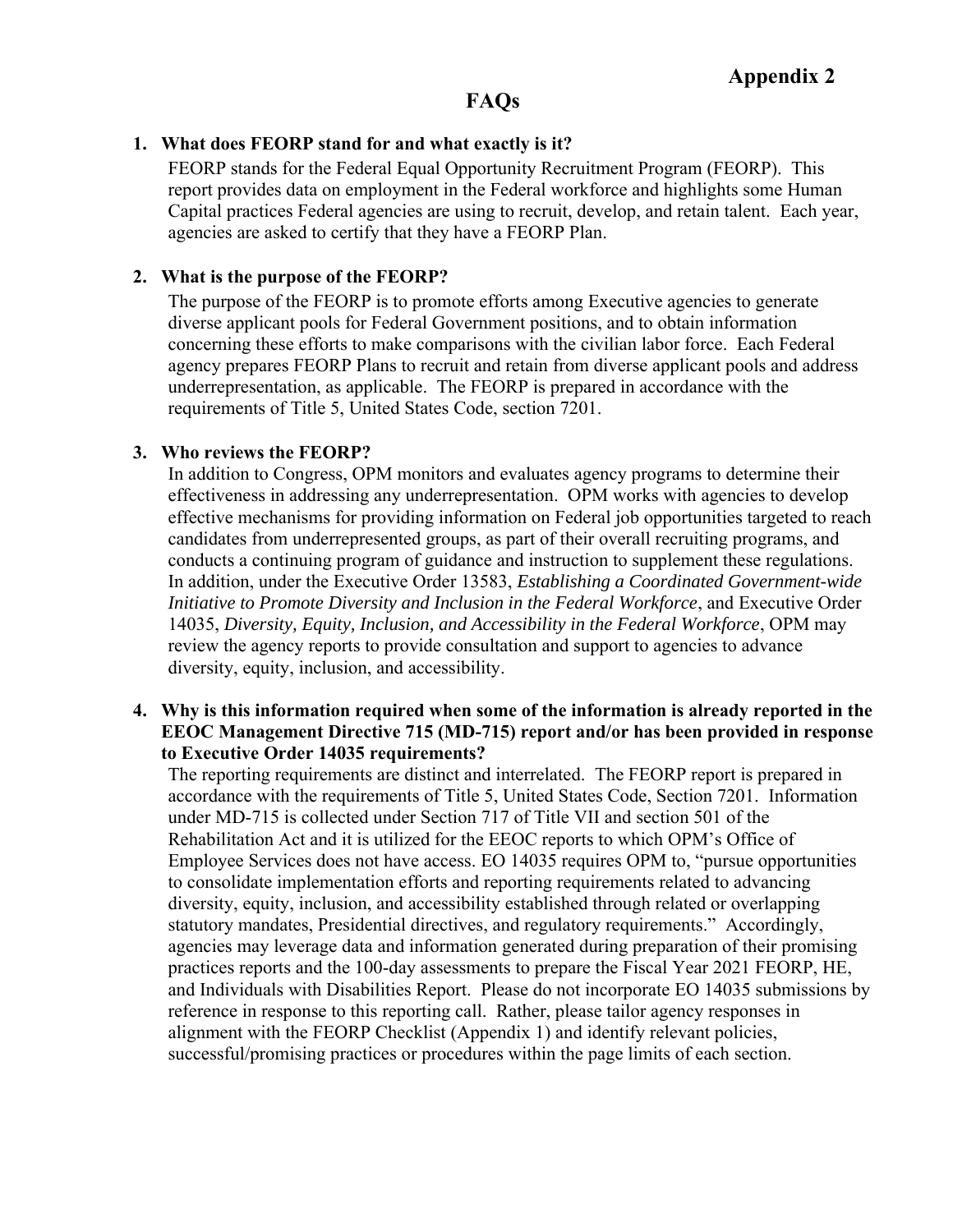# **FAQs**

### **1. What does FEORP stand for and what exactly is it?**

FEORP stands for the Federal Equal Opportunity Recruitment Program (FEORP). This report provides data on employment in the Federal workforce and highlights some Human Capital practices Federal agencies are using to recruit, develop, and retain talent. Each year, agencies are asked to certify that they have a FEORP Plan.

### **2. What is the purpose of the FEORP?**

The purpose of the FEORP is to promote efforts among Executive agencies to generate diverse applicant pools for Federal Government positions, and to obtain information concerning these efforts to make comparisons with the civilian labor force. Each Federal agency prepares FEORP Plans to recruit and retain from diverse applicant pools and address underrepresentation, as applicable. The FEORP is prepared in accordance with the requirements of Title 5, United States Code, section 7201.

### **3. Who reviews the FEORP?**

In addition to Congress, OPM monitors and evaluates agency programs to determine their effectiveness in addressing any underrepresentation. OPM works with agencies to develop effective mechanisms for providing information on Federal job opportunities targeted to reach candidates from underrepresented groups, as part of their overall recruiting programs, and conducts a continuing program of guidance and instruction to supplement these regulations. In addition, under the Executive Order 13583, *Establishing a Coordinated Government-wide Initiative to Promote Diversity and Inclusion in the Federal Workforce*, and Executive Order 14035, *Diversity, Equity, Inclusion, and Accessibility in the Federal Workforce*, OPM may review the agency reports to provide consultation and support to agencies to advance diversity, equity, inclusion, and accessibility.

### **4. Why is this information required when some of the information is already reported in the EEOC Management Directive 715 (MD-715) report and/or has been provided in response to Executive Order 14035 requirements?**

The reporting requirements are distinct and interrelated. The FEORP report is prepared in accordance with the requirements of Title 5, United States Code, Section 7201. Information under MD-715 is collected under Section 717 of Title VII and section 501 of the Rehabilitation Act and it is utilized for the EEOC reports to which OPM's Office of Employee Services does not have access. EO 14035 requires OPM to, "pursue opportunities to consolidate implementation efforts and reporting requirements related to advancing diversity, equity, inclusion, and accessibility established through related or overlapping statutory mandates, Presidential directives, and regulatory requirements." Accordingly, agencies may leverage data and information generated during preparation of their promising practices reports and the 100-day assessments to prepare the Fiscal Year 2021 FEORP, HE, and Individuals with Disabilities Report. Please do not incorporate EO 14035 submissions by reference in response to this reporting call. Rather, please tailor agency responses in alignment with the FEORP Checklist (Appendix 1) and identify relevant policies, successful/promising practices or procedures within the page limits of each section.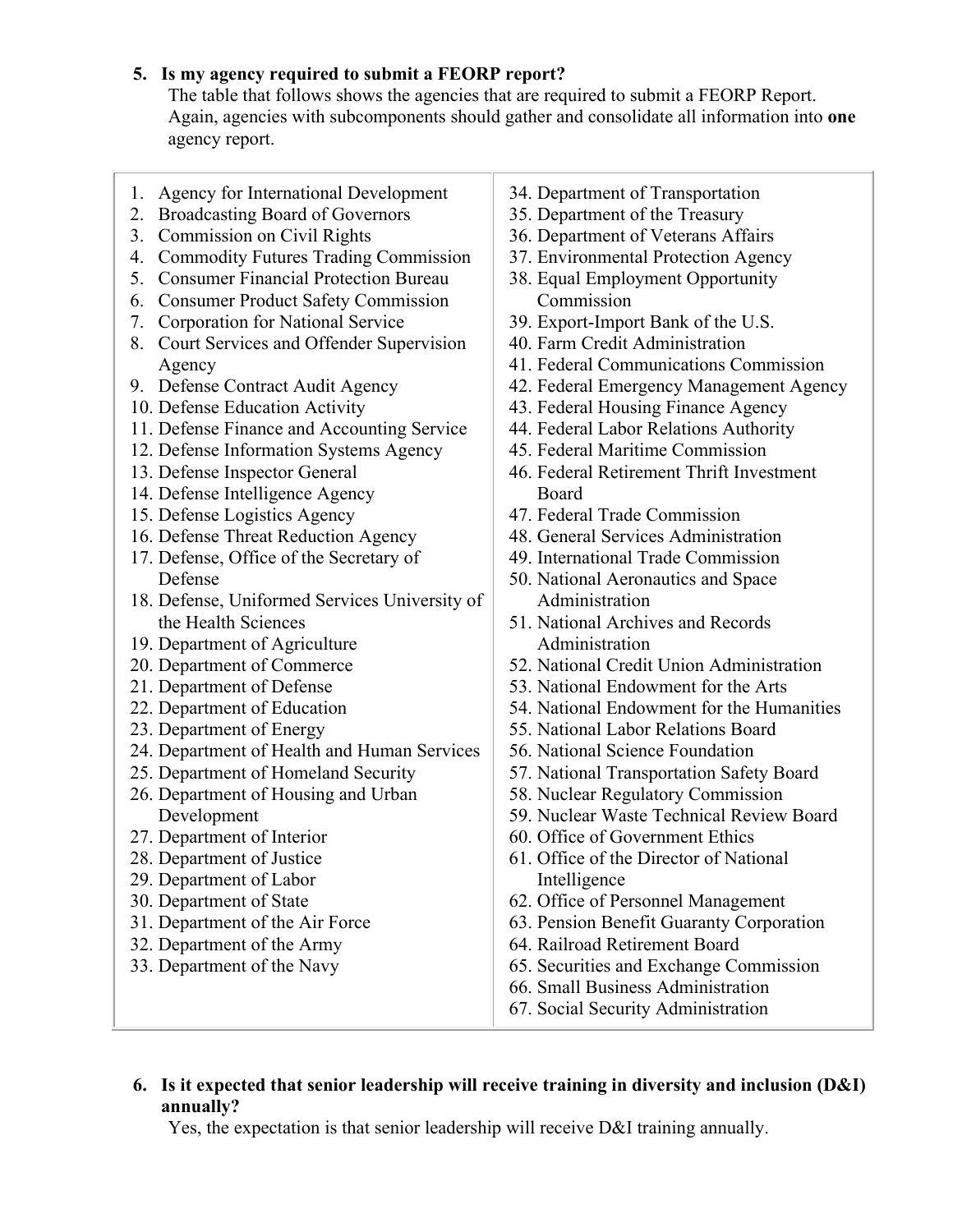# **5. Is my agency required to submit a FEORP report?**

The table that follows shows the agencies that are required to submit a FEORP Report. Again, agencies with subcomponents should gather and consolidate all information into **one** agency report.

- 1. Agency for International Development
- 2. Broadcasting Board of Governors
- 3. Commission on Civil Rights
- 4. Commodity Futures Trading Commission
- 5. Consumer Financial Protection Bureau
- 6. Consumer Product Safety Commission
- 7. Corporation for National Service
- 8. Court Services and Offender Supervision Agency
- 9. Defense Contract Audit Agency
- 10. Defense Education Activity
- 11. Defense Finance and Accounting Service
- 12. Defense Information Systems Agency
- 13. Defense Inspector General
- 14. Defense Intelligence Agency
- 15. Defense Logistics Agency
- 16. Defense Threat Reduction Agency
- 17. Defense, Office of the Secretary of Defense
- 18. Defense, Uniformed Services University of the Health Sciences
- 19. Department of Agriculture
- 20. Department of Commerce
- 21. Department of Defense
- 22. Department of Education
- 23. Department of Energy
- 24. Department of Health and Human Services
- 25. Department of Homeland Security
- 26. Department of Housing and Urban Development
- 27. Department of Interior
- 28. Department of Justice
- 29. Department of Labor
- 30. Department of State
- 31. Department of the Air Force
- 32. Department of the Army
- 33. Department of the Navy
- 34. Department of Transportation
- 35. Department of the Treasury
- 36. Department of Veterans Affairs
- 37. Environmental Protection Agency
- 38. Equal Employment Opportunity Commission
- 39. Export-Import Bank of the U.S.
- 40. Farm Credit Administration
- 41. Federal Communications Commission
- 42. Federal Emergency Management Agency
- 43. Federal Housing Finance Agency
- 44. Federal Labor Relations Authority
- 45. Federal Maritime Commission
- 46. Federal Retirement Thrift Investment Board
- 47. Federal Trade Commission
- 48. General Services Administration
- 49. International Trade Commission
- 50. National Aeronautics and Space Administration
- 51. National Archives and Records Administration
- 52. National Credit Union Administration
- 53. National Endowment for the Arts
- 54. National Endowment for the Humanities
- 55. National Labor Relations Board
- 56. National Science Foundation
- 57. National Transportation Safety Board
- 58. Nuclear Regulatory Commission
- 59. Nuclear Waste Technical Review Board
- 60. Office of Government Ethics
- 61. Office of the Director of National Intelligence
- 62. Office of Personnel Management
- 63. Pension Benefit Guaranty Corporation
- 64. Railroad Retirement Board
- 65. Securities and Exchange Commission
- 66. Small Business Administration
- 67. Social Security Administration

## **6. Is it expected that senior leadership will receive training in diversity and inclusion (D&I) annually?**

Yes, the expectation is that senior leadership will receive D&I training annually.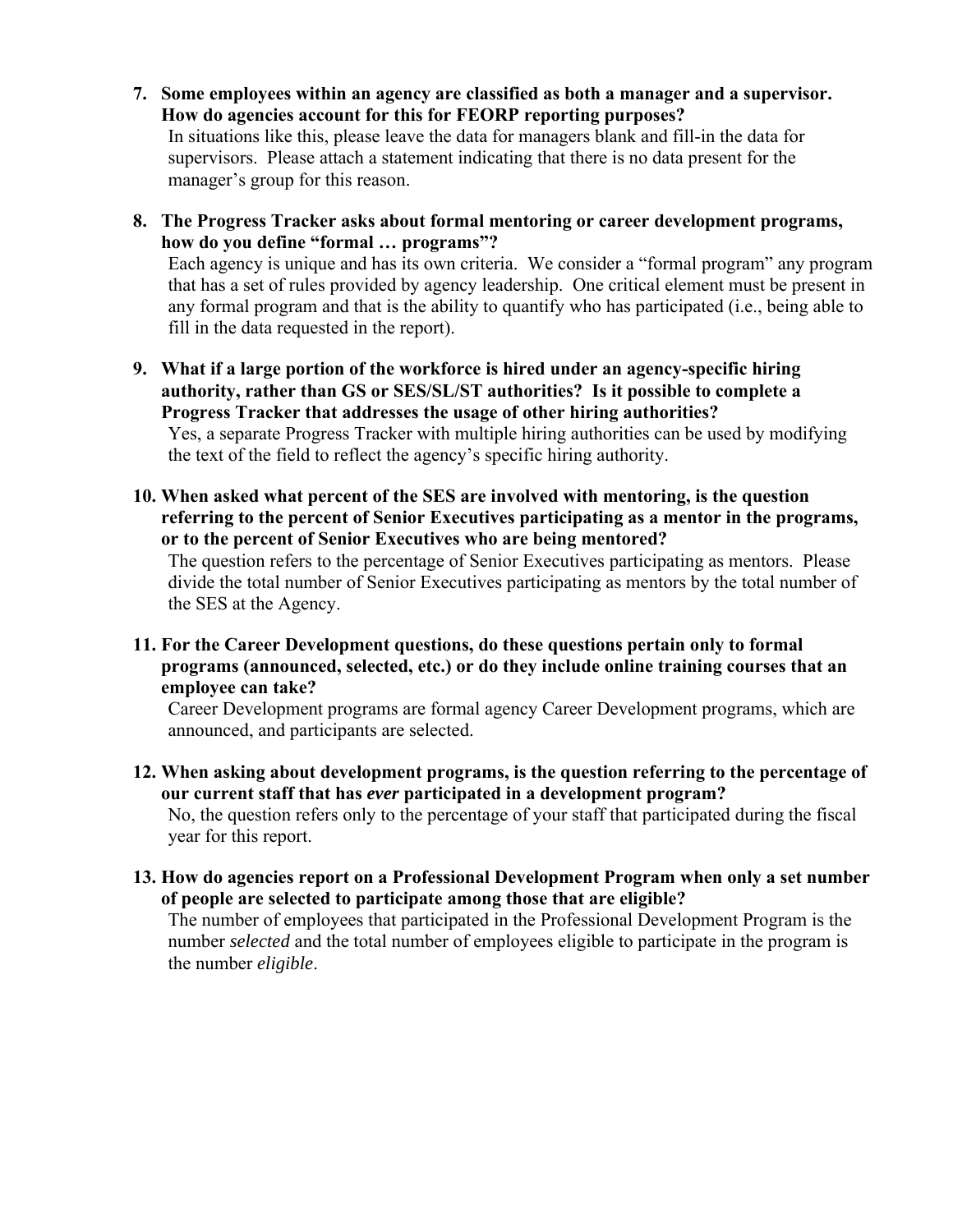- **7. Some employees within an agency are classified as both a manager and a supervisor. How do agencies account for this for FEORP reporting purposes?** In situations like this, please leave the data for managers blank and fill-in the data for supervisors. Please attach a statement indicating that there is no data present for the manager's group for this reason.
- **8. The Progress Tracker asks about formal mentoring or career development programs, how do you define "formal … programs"?**

Each agency is unique and has its own criteria. We consider a "formal program" any program that has a set of rules provided by agency leadership. One critical element must be present in any formal program and that is the ability to quantify who has participated (i.e., being able to fill in the data requested in the report).

- **9. What if a large portion of the workforce is hired under an agency-specific hiring authority, rather than GS or SES/SL/ST authorities? Is it possible to complete a Progress Tracker that addresses the usage of other hiring authorities?**  Yes, a separate Progress Tracker with multiple hiring authorities can be used by modifying the text of the field to reflect the agency's specific hiring authority.
- **10. When asked what percent of the SES are involved with mentoring, is the question referring to the percent of Senior Executives participating as a mentor in the programs, or to the percent of Senior Executives who are being mentored?**

The question refers to the percentage of Senior Executives participating as mentors. Please divide the total number of Senior Executives participating as mentors by the total number of the SES at the Agency.

**11. For the Career Development questions, do these questions pertain only to formal programs (announced, selected, etc.) or do they include online training courses that an employee can take?** 

Career Development programs are formal agency Career Development programs, which are announced, and participants are selected.

- **12. When asking about development programs, is the question referring to the percentage of our current staff that has** *ever* **participated in a development program?**  No, the question refers only to the percentage of your staff that participated during the fiscal year for this report.
- **13. How do agencies report on a Professional Development Program when only a set number of people are selected to participate among those that are eligible?**

The number of employees that participated in the Professional Development Program is the number *selected* and the total number of employees eligible to participate in the program is the number *eligible*.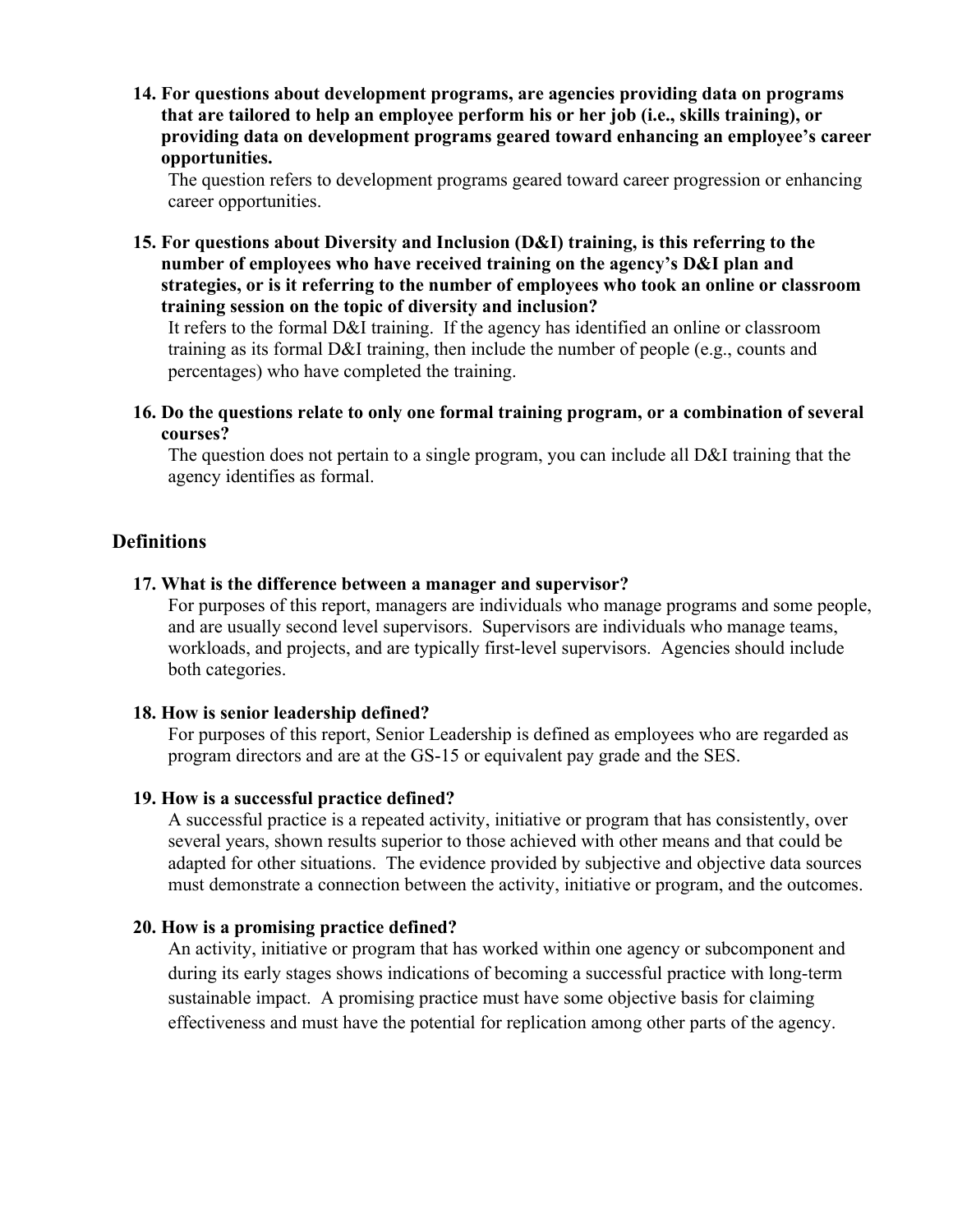**14. For questions about development programs, are agencies providing data on programs that are tailored to help an employee perform his or her job (i.e., skills training), or providing data on development programs geared toward enhancing an employee's career opportunities.** 

The question refers to development programs geared toward career progression or enhancing career opportunities.

**15. For questions about Diversity and Inclusion (D&I) training, is this referring to the number of employees who have received training on the agency's D&I plan and strategies, or is it referring to the number of employees who took an online or classroom training session on the topic of diversity and inclusion?** 

It refers to the formal D&I training. If the agency has identified an online or classroom training as its formal D&I training, then include the number of people (e.g., counts and percentages) who have completed the training.

**16. Do the questions relate to only one formal training program, or a combination of several courses?** 

The question does not pertain to a single program, you can include all D&I training that the agency identifies as formal.

## **Definitions**

#### **17. What is the difference between a manager and supervisor?**

For purposes of this report, managers are individuals who manage programs and some people, and are usually second level supervisors. Supervisors are individuals who manage teams, workloads, and projects, and are typically first-level supervisors. Agencies should include both categories.

#### **18. How is senior leadership defined?**

For purposes of this report, Senior Leadership is defined as employees who are regarded as program directors and are at the GS-15 or equivalent pay grade and the SES.

#### **19. How is a successful practice defined?**

A successful practice is a repeated activity, initiative or program that has consistently, over several years, shown results superior to those achieved with other means and that could be adapted for other situations. The evidence provided by subjective and objective data sources must demonstrate a connection between the activity, initiative or program, and the outcomes.

#### **20. How is a promising practice defined?**

An activity, initiative or program that has worked within one agency or subcomponent and during its early stages shows indications of becoming a successful practice with long-term sustainable impact. A promising practice must have some objective basis for claiming effectiveness and must have the potential for replication among other parts of the agency.